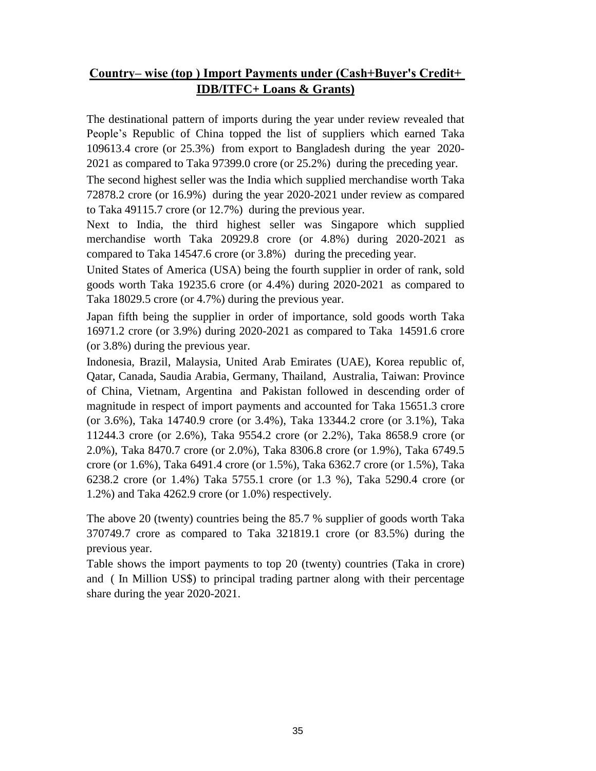## **Country– wise (top ) Import Payments under (Cash+Buyer's Credit+ IDB/ITFC+ Loans & Grants)**

The destinational pattern of imports during the year under review revealed that People's Republic of China topped the list of suppliers which earned Taka 109613.4 crore (or 25.3%) from export to Bangladesh during the year 2020- 2021 as compared to Taka 97399.0 crore (or 25.2%) during the preceding year.

The second highest seller was the India which supplied merchandise worth Taka 72878.2 crore (or 16.9%) during the year 2020-2021 under review as compared to Taka 49115.7 crore (or 12.7%) during the previous year.

Next to India, the third highest seller was Singapore which supplied merchandise worth Taka 20929.8 crore (or 4.8%) during 2020-2021 as compared to Taka 14547.6 crore (or 3.8%) during the preceding year.

United States of America (USA) being the fourth supplier in order of rank, sold goods worth Taka 19235.6 crore (or 4.4%) during 2020-2021 as compared to Taka 18029.5 crore (or 4.7%) during the previous year.

Japan fifth being the supplier in order of importance, sold goods worth Taka 16971.2 crore (or 3.9%) during 2020-2021 as compared to Taka 14591.6 crore (or 3.8%) during the previous year.

Indonesia, Brazil, Malaysia, United Arab Emirates (UAE), Korea republic of, Qatar, Canada, Saudia Arabia, Germany, Thailand, Australia, Taiwan: Province of China, Vietnam, Argentina and Pakistan followed in descending order of magnitude in respect of import payments and accounted for Taka 15651.3 crore (or 3.6%), Taka 14740.9 crore (or 3.4%), Taka 13344.2 crore (or 3.1%), Taka 11244.3 crore (or 2.6%), Taka 9554.2 crore (or 2.2%), Taka 8658.9 crore (or 2.0%), Taka 8470.7 crore (or 2.0%), Taka 8306.8 crore (or 1.9%), Taka 6749.5 crore (or 1.6%), Taka 6491.4 crore (or 1.5%), Taka 6362.7 crore (or 1.5%), Taka 6238.2 crore (or 1.4%) Taka 5755.1 crore (or 1.3 %), Taka 5290.4 crore (or 1.2%) and Taka 4262.9 crore (or 1.0%) respectively.

The above 20 (twenty) countries being the 85.7 % supplier of goods worth Taka 370749.7 crore as compared to Taka 321819.1 crore (or 83.5%) during the previous year.

Table shows the import payments to top 20 (twenty) countries (Taka in crore) and ( In Million US\$) to principal trading partner along with their percentage share during the year 2020-2021.